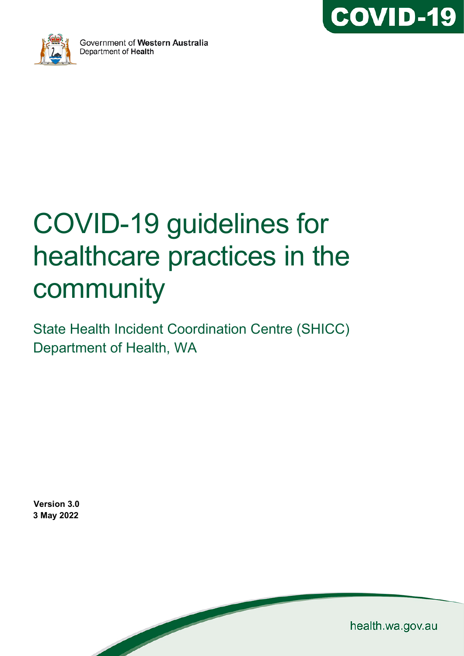



# COVID-19 guidelines for healthcare practices in the community

State Health Incident Coordination Centre (SHICC) Department of Health, WA

**Version 3.0 3 May 2022**

health.wa.gov.au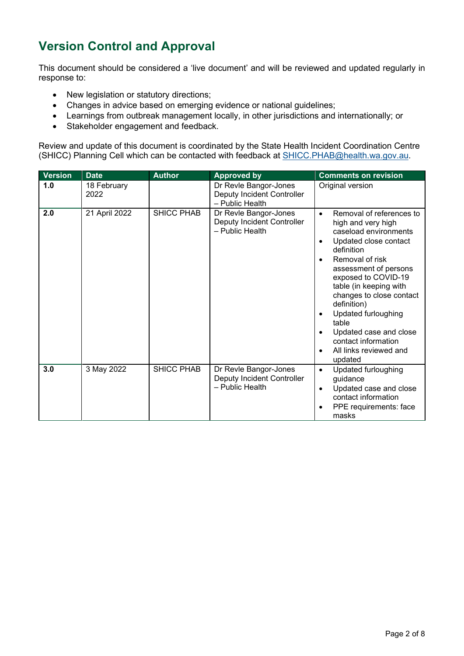# **Version Control and Approval**

This document should be considered a 'live document' and will be reviewed and updated regularly in response to:

- New legislation or statutory directions;
- Changes in advice based on emerging evidence or national guidelines;
- Learnings from outbreak management locally, in other jurisdictions and internationally; or
- Stakeholder engagement and feedback.

Review and update of this document is coordinated by the State Health Incident Coordination Centre (SHICC) Planning Cell which can be contacted with feedback at [SHICC.PHAB@health.wa.gov.au.](mailto:PHEOC@health.wa.gov.au)

| <b>Version</b> | <b>Date</b>         | <b>Author</b>     | <b>Approved by</b>                                                     | <b>Comments on revision</b>                                                                                                                                                                                                                                                                                                                                                                                                                                       |
|----------------|---------------------|-------------------|------------------------------------------------------------------------|-------------------------------------------------------------------------------------------------------------------------------------------------------------------------------------------------------------------------------------------------------------------------------------------------------------------------------------------------------------------------------------------------------------------------------------------------------------------|
| 1.0            | 18 February<br>2022 |                   | Dr Revle Bangor-Jones<br>Deputy Incident Controller<br>- Public Health | Original version                                                                                                                                                                                                                                                                                                                                                                                                                                                  |
| 2.0            | 21 April 2022       | <b>SHICC PHAB</b> | Dr Revle Bangor-Jones<br>Deputy Incident Controller<br>- Public Health | Removal of references to<br>$\bullet$<br>high and very high<br>caseload environments<br>Updated close contact<br>$\bullet$<br>definition<br>Removal of risk<br>$\bullet$<br>assessment of persons<br>exposed to COVID-19<br>table (in keeping with<br>changes to close contact<br>definition)<br><b>Updated furloughing</b><br>$\bullet$<br>table<br>Updated case and close<br>$\bullet$<br>contact information<br>All links reviewed and<br>$\bullet$<br>updated |
| 3.0            | 3 May 2022          | SHICC PHAB        | Dr Revle Bangor-Jones<br>Deputy Incident Controller<br>- Public Health | Updated furloughing<br>$\bullet$<br>guidance<br>Updated case and close<br>$\bullet$<br>contact information<br>PPE requirements: face<br>$\bullet$<br>masks                                                                                                                                                                                                                                                                                                        |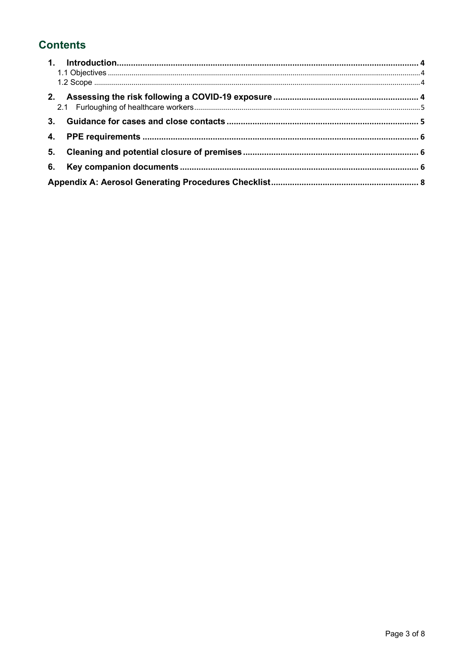# **Contents**

| 4. |  |
|----|--|
| 5. |  |
| 6. |  |
|    |  |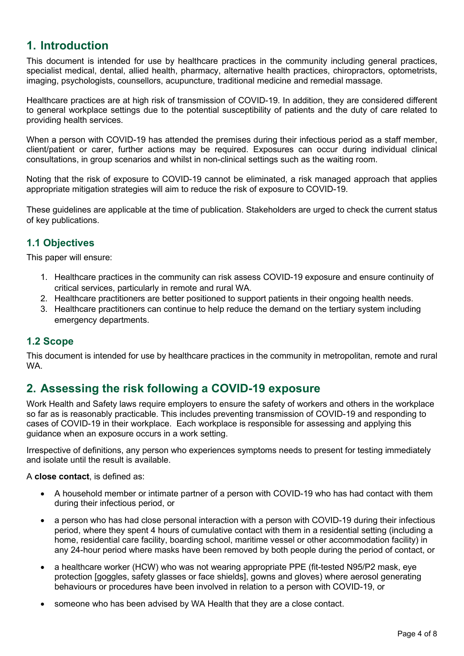## <span id="page-3-0"></span>**1. Introduction**

This document is intended for use by healthcare practices in the community including general practices, specialist medical, dental, allied health, pharmacy, alternative health practices, chiropractors, optometrists, imaging, psychologists, counsellors, acupuncture, traditional medicine and remedial massage.

Healthcare practices are at high risk of transmission of COVID-19. In addition, they are considered different to general workplace settings due to the potential susceptibility of patients and the duty of care related to providing health services.

When a person with COVID-19 has attended the premises during their infectious period as a staff member, client/patient or carer, further actions may be required. Exposures can occur during individual clinical consultations, in group scenarios and whilst in non-clinical settings such as the waiting room.

Noting that the risk of exposure to COVID-19 cannot be eliminated, a risk managed approach that applies appropriate mitigation strategies will aim to reduce the risk of exposure to COVID-19.

These guidelines are applicable at the time of publication. Stakeholders are urged to check the current status of key publications.

## <span id="page-3-1"></span>**1.1 Objectives**

This paper will ensure:

- 1. Healthcare practices in the community can risk assess COVID-19 exposure and ensure continuity of critical services, particularly in remote and rural WA.
- 2. Healthcare practitioners are better positioned to support patients in their ongoing health needs.
- 3. Healthcare practitioners can continue to help reduce the demand on the tertiary system including emergency departments.

## <span id="page-3-2"></span>**1.2 Scope**

This document is intended for use by healthcare practices in the community in metropolitan, remote and rural WA.

## <span id="page-3-3"></span>**2. Assessing the risk following a COVID-19 exposure**

Work Health and Safety laws require employers to ensure the safety of workers and others in the workplace so far as is reasonably practicable. This includes preventing transmission of COVID-19 and responding to cases of COVID-19 in their workplace. Each workplace is responsible for assessing and applying this guidance when an exposure occurs in a work setting.

Irrespective of definitions, any person who experiences symptoms needs to present for testing immediately and isolate until the result is available.

A **close contact**, is defined as:

- A household member or intimate partner of a person with COVID-19 who has had contact with them during their infectious period, or
- a person who has had close personal interaction with a person with COVID-19 during their infectious period, where they spent 4 hours of cumulative contact with them in a residential setting (including a home, residential care facility, boarding school, maritime vessel or other accommodation facility) in any 24-hour period where masks have been removed by both people during the period of contact, or
- a healthcare worker (HCW) who was not wearing appropriate PPE (fit-tested N95/P2 mask, eye protection [goggles, safety glasses or face shields], gowns and gloves) where aerosol generating behaviours or procedures have been involved in relation to a person with COVID-19, or
- someone who has been advised by WA Health that they are a close contact.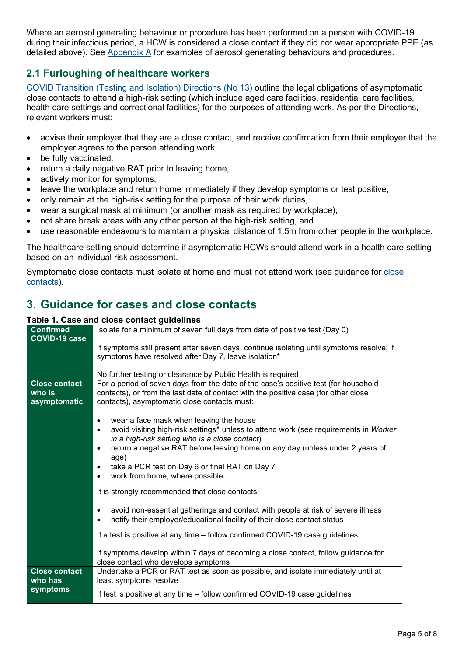Where an aerosol generating behaviour or procedure has been performed on a person with COVID-19 during their infectious period, a HCW is considered a close contact if they did not wear appropriate PPE (as detailed above). See [Appendix A](#page-7-0) for examples of aerosol generating behaviours and procedures.

## <span id="page-4-0"></span>**2.1 Furloughing of healthcare workers**

[COVID Transition \(Testing and Isolation\) Directions \(No 13\)](https://www.wa.gov.au/system/files/2022-04/20220429-COVID-Transition-Testing-and-Isolation-Directions-No-13.pdf) outline the legal obligations of asymptomatic close contacts to attend a high-risk setting (which include aged care facilities, residential care facilities, health care settings and correctional facilities) for the purposes of attending work. As per the Directions, relevant workers must:

- advise their employer that they are a close contact, and receive confirmation from their employer that the employer agrees to the person attending work,
- be fully vaccinated,
- return a daily negative RAT prior to leaving home,
- actively monitor for symptoms,
- leave the workplace and return home immediately if they develop symptoms or test positive,
- only remain at the high-risk setting for the purpose of their work duties,
- wear a surgical mask at minimum (or another mask as required by workplace),
- not share break areas with any other person at the high-risk setting, and
- use reasonable endeavours to maintain a physical distance of 1.5m from other people in the workplace.

The healthcare setting should determine if asymptomatic HCWs should attend work in a health care setting based on an individual risk assessment.

Symptomatic [close](https://www.healthywa.wa.gov.au/Articles/A_E/Coronavirus/COVID19-close-contacts) contacts must isolate at home and must not attend work (see guidance for close [contacts\)](https://www.healthywa.wa.gov.au/Articles/A_E/Coronavirus/COVID19-close-contacts).

# <span id="page-4-1"></span>**3. Guidance for cases and close contacts**

#### **Table 1. Case and close contact guidelines**

|                      | rable 1. Case and close contact guidemies                                                                     |
|----------------------|---------------------------------------------------------------------------------------------------------------|
| <b>Confirmed</b>     | Isolate for a minimum of seven full days from date of positive test (Day 0)                                   |
| <b>COVID-19 case</b> |                                                                                                               |
|                      | If symptoms still present after seven days, continue isolating until symptoms resolve; if                     |
|                      | symptoms have resolved after Day 7, leave isolation*                                                          |
|                      |                                                                                                               |
|                      | No further testing or clearance by Public Health is required                                                  |
| <b>Close contact</b> | For a period of seven days from the date of the case's positive test (for household                           |
| who is               | contacts), or from the last date of contact with the positive case (for other close                           |
| asymptomatic         | contacts), asymptomatic close contacts must:                                                                  |
|                      |                                                                                                               |
|                      | wear a face mask when leaving the house<br>$\bullet$                                                          |
|                      | avoid visiting high-risk settings <sup>^</sup> unless to attend work (see requirements in Worker<br>$\bullet$ |
|                      | in a high-risk setting who is a close contact)                                                                |
|                      | return a negative RAT before leaving home on any day (unless under 2 years of<br>٠                            |
|                      | age)                                                                                                          |
|                      | take a PCR test on Day 6 or final RAT on Day 7<br>$\bullet$                                                   |
|                      | work from home, where possible<br>$\bullet$                                                                   |
|                      |                                                                                                               |
|                      | It is strongly recommended that close contacts:                                                               |
|                      |                                                                                                               |
|                      | avoid non-essential gatherings and contact with people at risk of severe illness<br>$\bullet$                 |
|                      | notify their employer/educational facility of their close contact status<br>$\bullet$                         |
|                      | If a test is positive at any time - follow confirmed COVID-19 case guidelines                                 |
|                      |                                                                                                               |
|                      | If symptoms develop within 7 days of becoming a close contact, follow guidance for                            |
|                      | close contact who develops symptoms                                                                           |
| <b>Close contact</b> | Undertake a PCR or RAT test as soon as possible, and isolate immediately until at                             |
| who has              | least symptoms resolve                                                                                        |
| symptoms             |                                                                                                               |
|                      | If test is positive at any time - follow confirmed COVID-19 case guidelines                                   |
|                      |                                                                                                               |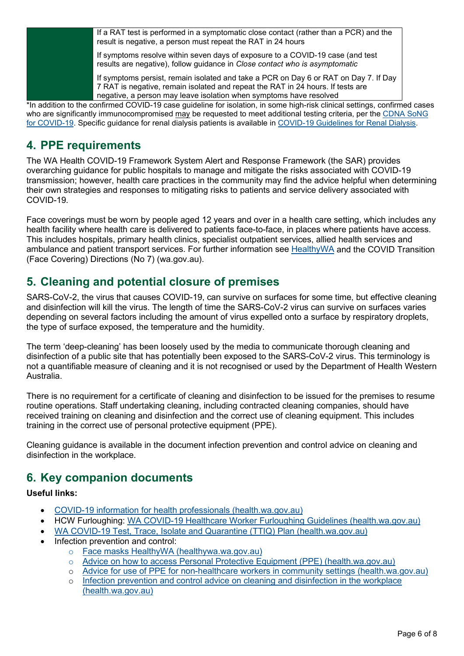| If a RAT test is performed in a symptomatic close contact (rather than a PCR) and the<br>result is negative, a person must repeat the RAT in 24 hours                                                                                         |
|-----------------------------------------------------------------------------------------------------------------------------------------------------------------------------------------------------------------------------------------------|
| If symptoms resolve within seven days of exposure to a COVID-19 case (and test<br>results are negative), follow guidance in Close contact who is asymptomatic                                                                                 |
| If symptoms persist, remain isolated and take a PCR on Day 6 or RAT on Day 7. If Day<br>7 RAT is negative, remain isolated and repeat the RAT in 24 hours. If tests are<br>negative, a person may leave isolation when symptoms have resolved |

\*In addition to the confirmed COVID-19 case guideline for isolation, in some high-risk clinical settings, confirmed cases who are significantly immunocompromised may be requested to meet additional testing criteria, per the [CDNA SoNG](https://www1.health.gov.au/internet/main/publishing.nsf/Content/cdna-song-novel-coronavirus.htm)  [for COVID-19.](https://www1.health.gov.au/internet/main/publishing.nsf/Content/cdna-song-novel-coronavirus.htm) Specific guidance for renal dialysis patients is available in [COVID-19 Guidelines for Renal Dialysis.](https://ww2.health.wa.gov.au/%7E/media/Corp/Documents/Health-for/Infectious-disease/COVID19/COVID-19-Guidelines-for-Renal-Dialysis.pdf)

## <span id="page-5-0"></span>**4. PPE requirements**

The WA Health COVID-19 Framework System Alert and Response Framework (the SAR) provides overarching guidance for public hospitals to manage and mitigate the risks associated with COVID-19 transmission; however, health care practices in the community may find the advice helpful when determining their own strategies and responses to mitigating risks to patients and service delivery associated with COVID-19.

Face coverings must be worn by people aged 12 years and over in a health care setting, which includes any health facility where health care is delivered to patients face-to-face, in places where patients have access. This includes hospitals, primary health clinics, specialist outpatient services, allied health services and ambulance and patient transport services. For further information see [HealthyWA](https://www.healthywa.wa.gov.au/Articles/A_E/Coronavirus/Face-masks) and the COVID Transition (Face Covering) Directions (No 7) (wa.gov.au).

# <span id="page-5-1"></span>**5. Cleaning and potential closure of premises**

SARS-CoV-2, the virus that causes COVID-19, can survive on surfaces for some time, but effective cleaning and disinfection will kill the virus. The length of time the SARS-CoV-2 virus can survive on surfaces varies depending on several factors including the amount of virus expelled onto a surface by respiratory droplets, the type of surface exposed, the temperature and the humidity.

The term 'deep-cleaning' has been loosely used by the media to communicate thorough cleaning and disinfection of a public site that has potentially been exposed to the SARS-CoV-2 virus. This terminology is not a quantifiable measure of cleaning and it is not recognised or used by the Department of Health Western Australia.

There is no requirement for a certificate of cleaning and disinfection to be issued for the premises to resume routine operations. Staff undertaking cleaning, including contracted cleaning companies, should have received training on cleaning and disinfection and the correct use of cleaning equipment. This includes training in the correct use of personal protective equipment (PPE).

Cleaning guidance is available in the document infection prevention and control advice on cleaning and disinfection in the workplace.

# <span id="page-5-2"></span>**6. Key companion documents**

### **Useful links:**

- [COVID-19 information for health professionals \(health.wa.gov.au\)](https://ww2.health.wa.gov.au/Articles/A_E/Coronavirus/COVID19-information-for-health-professionals)
- HCW Furloughing: [WA COVID-19 Healthcare Worker Furloughing Guidelines \(health.wa.gov.au\)](https://ww2.health.wa.gov.au/%7E/media/Corp/Documents/Health-for/Infectious-disease/COVID19/COVID19-Healthcare-worker-furloughing-guidelines.pdf)
- [WA COVID-19 Test, Trace, Isolate and Quarantine \(TTIQ\) Plan \(health.wa.gov.au\)](https://ww2.health.wa.gov.au/Articles/A_E/Coronavirus/COVID19-information-for-business-and-industry/TTIQ-Plan)
- Infection prevention and control:
	- o [Face masks HealthyWA \(healthywa.wa.gov.au\)](https://www.healthywa.wa.gov.au/Articles/A_E/Coronavirus/Face-masks)
	- o [Advice on how to access Personal Protective Equipment \(PPE\) \(health.wa.gov.au\)](https://ww2.health.wa.gov.au/Articles/A_E/Coronavirus/Advice-on-how-to-access-Personal-Protective-Equipment)
	- o [Advice for use of PPE for non-healthcare workers in community settings \(health.wa.gov.au\)](https://ww2.health.wa.gov.au/%7E/media/Corp/Documents/Health-for/Infectious-disease/COVID19/COVID19-Use-of-PPE-for-workers-in-community-settings.pdf)
	- o [Infection prevention and control advice on cleaning and disinfection in the workplace](https://ww2.health.wa.gov.au/%7E/media/Corp/Documents/Health-for/Infectious-disease/COVID19/COVID19-IPC-advice-on-cleaning-and-disinfecting-in-the-workplace.pdf)  [\(health.wa.gov.au\)](https://ww2.health.wa.gov.au/%7E/media/Corp/Documents/Health-for/Infectious-disease/COVID19/COVID19-IPC-advice-on-cleaning-and-disinfecting-in-the-workplace.pdf)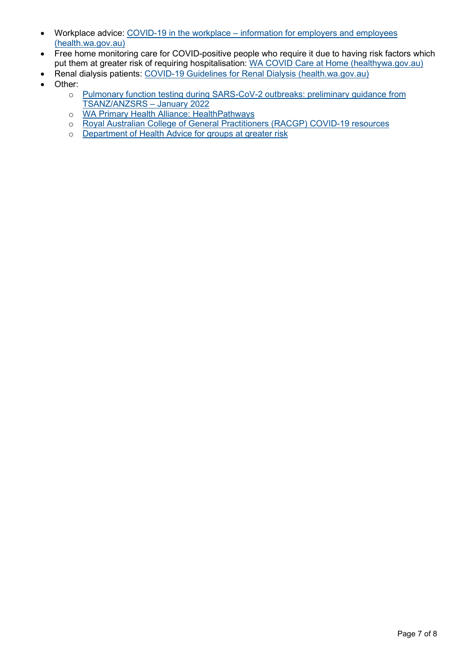- Workplace advice: COVID-19 in the workplace information for employers and employees [\(health.wa.gov.au\)](https://ww2.health.wa.gov.au/Articles/A_E/Coronavirus/COVID19-information-for-business-and-industry/COVID19-in-the-workplace-Information-for-employers-and-employees)
- Free home monitoring care for COVID-positive people who require it due to having risk factors which put them at greater risk of requiring hospitalisation: [WA COVID Care at Home \(healthywa.gov.au\)](https://www.healthywa.wa.gov.au/Articles/A_E/Coronavirus/Managing-COVID19-at-home-and-in-the-community/WA-COVID-Care-at-Home)
- Renal dialysis patients: [COVID-19 Guidelines for Renal Dialysis \(health.wa.gov.au\)](https://ww2.health.wa.gov.au/%7E/media/Corp/Documents/Health-for/Infectious-disease/COVID19/COVID-19-Guidelines-for-Renal-Dialysis.pdf)
- Other:
	- o [Pulmonary function testing during SARS-CoV-2 outbreaks: preliminary guidance from](https://www.anzsrs.org.au/images/Pulmonary_Function_Testing_during_SARS-CoV-2_Outbreaks_Preliminary_Guidance_from_TSANZ_ANZSRS_-_January_2022.pdf)  [TSANZ/ANZSRS –](https://www.anzsrs.org.au/images/Pulmonary_Function_Testing_during_SARS-CoV-2_Outbreaks_Preliminary_Guidance_from_TSANZ_ANZSRS_-_January_2022.pdf) January 2022
	- o [WA Primary Health Alliance: HealthPathways](https://www.wapha.org.au/health-professionals/general-practice-support/healthpathways/)
	- o [Royal Australian College of General Practitioners \(RACGP\) COVID-19 resources](https://www.racgp.org.au/clinical-resources/covid-19-resources)
	- o [Department of Health Advice for groups at greater risk](https://www.health.gov.au/health-alerts/covid-19/advice-for-groups-at-risk)